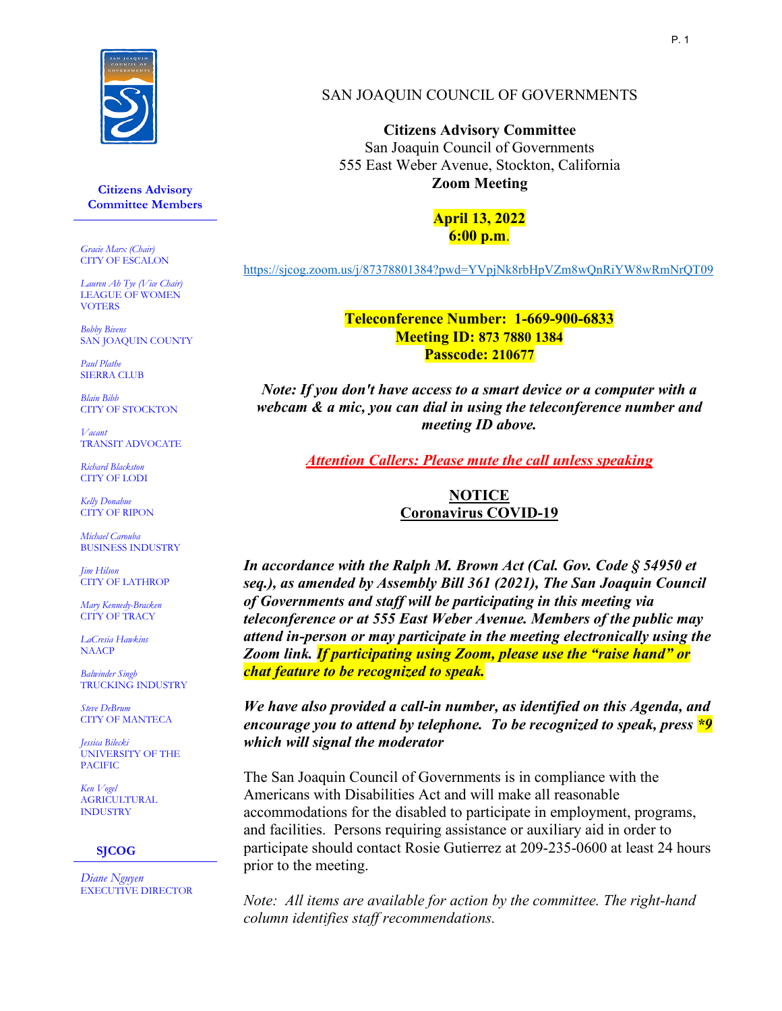

**Citizens Advisory Committee Members**

*Gracie Marx (Chair)* CITY OF ESCALON

*Lauren Ah Tye (Vice Chair)* LEAGUE OF WOMEN **VOTERS** 

*Bobby Bivens* SAN JOAQUIN COUNTY

*Paul Plathe*  SIERRA CLUB

*Blain Bibb* CITY OF STOCKTON

*Vacant* TRANSIT ADVOCATE

*Richard Blackston* CITY OF LODI

*Kelly Donahue* CITY OF RIPON

*Michael Carouba* BUSINESS INDUSTRY

*Jim Hilson* CITY OF LATHROP

*Mary Kennedy-Bracken* CITY OF TRACY

*LaCresia Hawkins* NAACP

*Balwinder Singh* TRUCKING INDUSTRY

*Steve DeBrum* CITY OF MANTECA

*Jessica Bilecki* UNIVERSITY OF THE PACIFIC

*Ken Vogel* **AGRICULTURAL** INDUSTRY

#### **SJCOG**

*Diane Nguyen* EXECUTIVE DIRECTOR

#### SAN JOAQUIN COUNCIL OF GOVERNMENTS

**Citizens Advisory Committee** San Joaquin Council of Governments 555 East Weber Avenue, Stockton, California **Zoom Meeting**

> **April 13, 2022 6:00 p.m**.

<https://sjcog.zoom.us/j/87378801384?pwd=YVpjNk8rbHpVZm8wQnRiYW8wRmNrQT09>

**Teleconference Number: 1-669-900-6833 Meeting ID: 873 7880 1384 Passcode: 210677**

*Note: If you don't have access to a smart device or a computer with a webcam & a mic, you can dial in using the teleconference number and meeting ID above.*

*Attention Callers: Please mute the call unless speaking*

**NOTICE Coronavirus COVID-19**

*In accordance with the Ralph M. Brown Act (Cal. Gov. Code § 54950 et seq.), as amended by Assembly Bill 361 (2021), The San Joaquin Council of Governments and staff will be participating in this meeting via teleconference or at 555 East Weber Avenue. Members of the public may attend in-person or may participate in the meeting electronically using the Zoom link. If participating using Zoom, please use the "raise hand" or chat feature to be recognized to speak.* 

*We have also provided a call-in number, as identified on this Agenda, and encourage you to attend by telephone. To be recognized to speak, press \*9 which will signal the moderator*

The San Joaquin Council of Governments is in compliance with the Americans with Disabilities Act and will make all reasonable accommodations for the disabled to participate in employment, programs, and facilities. Persons requiring assistance or auxiliary aid in order to participate should contact Rosie Gutierrez at 209-235-0600 at least 24 hours prior to the meeting.

*Note: All items are available for action by the committee. The right-hand column identifies staff recommendations.*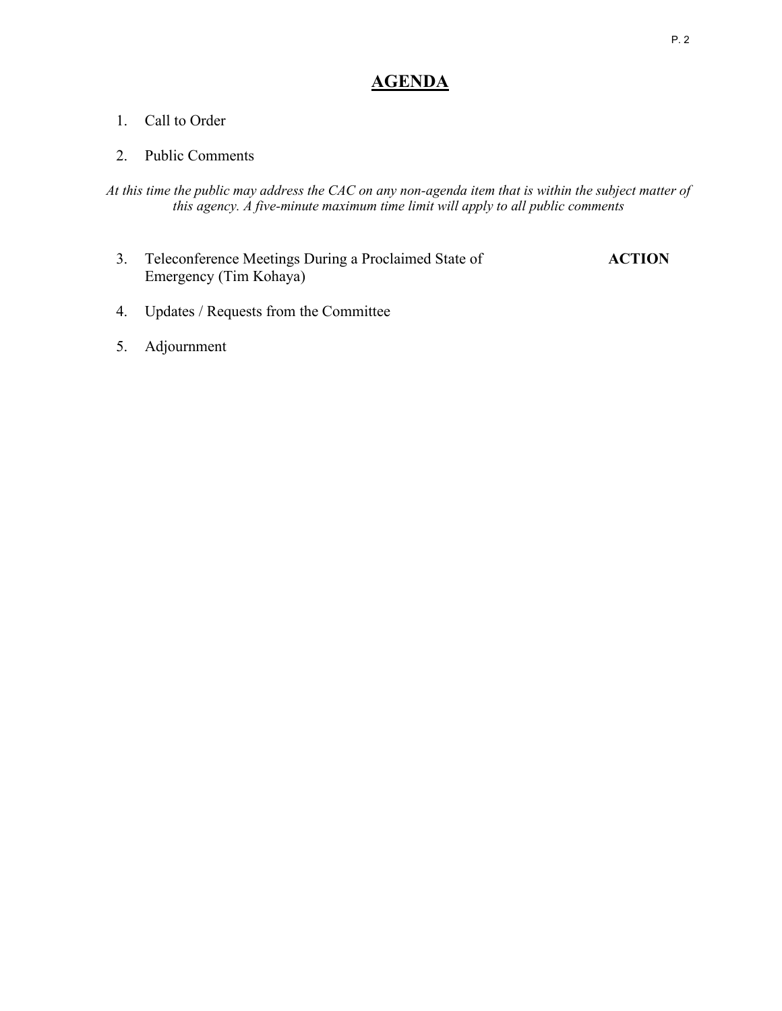# **AGENDA**

#### 1. Call to Order

#### 2. Public Comments

*At this time the public may address the CAC on any non-agenda item that is within the subject matter of this agency. A five-minute maximum time limit will apply to all public comments*

- 3. Teleconference Meetings During a Proclaimed State of **ACTION** Emergency (Tim Kohaya)
- 4. Updates / Requests from the Committee
- 5. Adjournment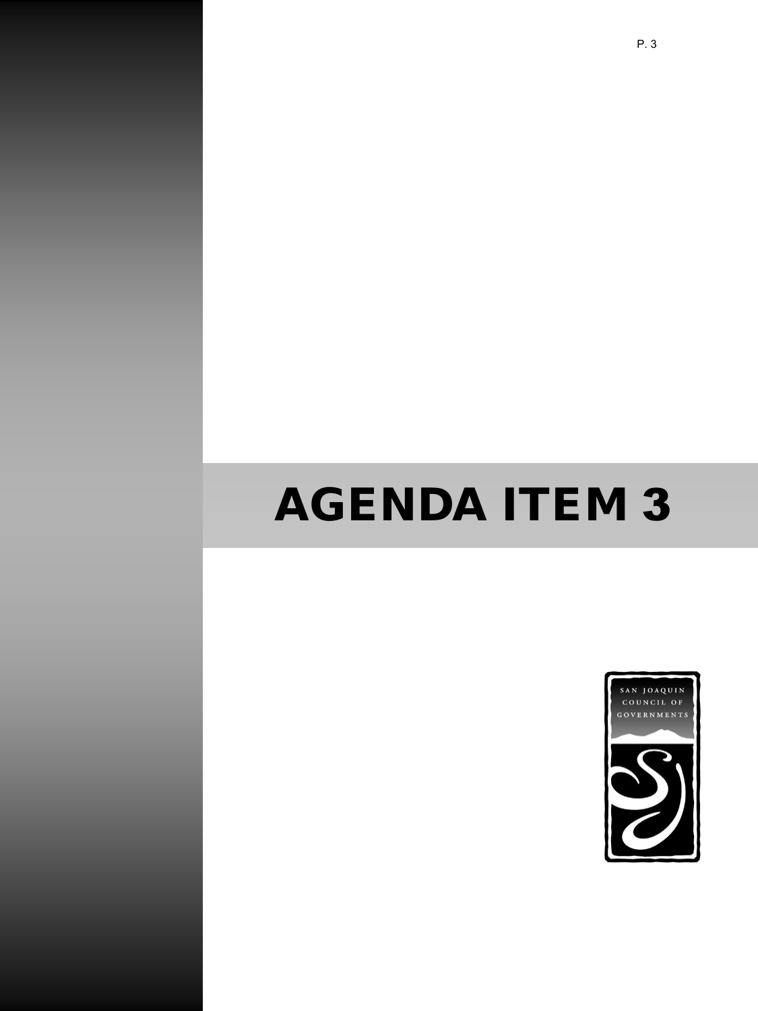# AGENDA ITEM 3

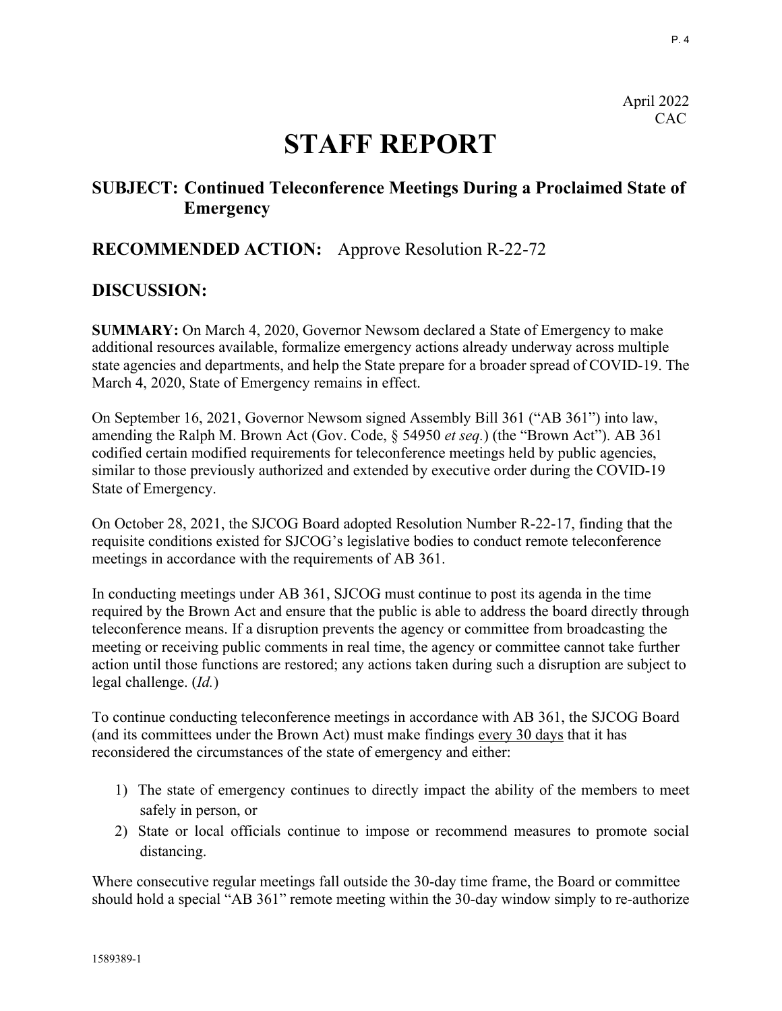P. 4

April 2022 CAC

# **STAFF REPORT**

# **SUBJECT: Continued Teleconference Meetings During a Proclaimed State of Emergency**

# **RECOMMENDED ACTION:** Approve Resolution R-22-72

# **DISCUSSION:**

**SUMMARY:** On March 4, 2020, Governor Newsom declared a State of Emergency to make additional resources available, formalize emergency actions already underway across multiple state agencies and departments, and help the State prepare for a broader spread of COVID-19. The March 4, 2020, State of Emergency remains in effect.

On September 16, 2021, Governor Newsom signed Assembly Bill 361 ("AB 361") into law, amending the Ralph M. Brown Act (Gov. Code, § 54950 *et seq.*) (the "Brown Act"). AB 361 codified certain modified requirements for teleconference meetings held by public agencies, similar to those previously authorized and extended by executive order during the COVID-19 State of Emergency.

On October 28, 2021, the SJCOG Board adopted Resolution Number R-22-17, finding that the requisite conditions existed for SJCOG's legislative bodies to conduct remote teleconference meetings in accordance with the requirements of AB 361.

In conducting meetings under AB 361, SJCOG must continue to post its agenda in the time required by the Brown Act and ensure that the public is able to address the board directly through teleconference means. If a disruption prevents the agency or committee from broadcasting the meeting or receiving public comments in real time, the agency or committee cannot take further action until those functions are restored; any actions taken during such a disruption are subject to legal challenge. (*Id.*)

To continue conducting teleconference meetings in accordance with AB 361, the SJCOG Board (and its committees under the Brown Act) must make findings every 30 days that it has reconsidered the circumstances of the state of emergency and either:

- 1) The state of emergency continues to directly impact the ability of the members to meet safely in person, or
- 2) State or local officials continue to impose or recommend measures to promote social distancing.

Where consecutive regular meetings fall outside the 30-day time frame, the Board or committee should hold a special "AB 361" remote meeting within the 30-day window simply to re-authorize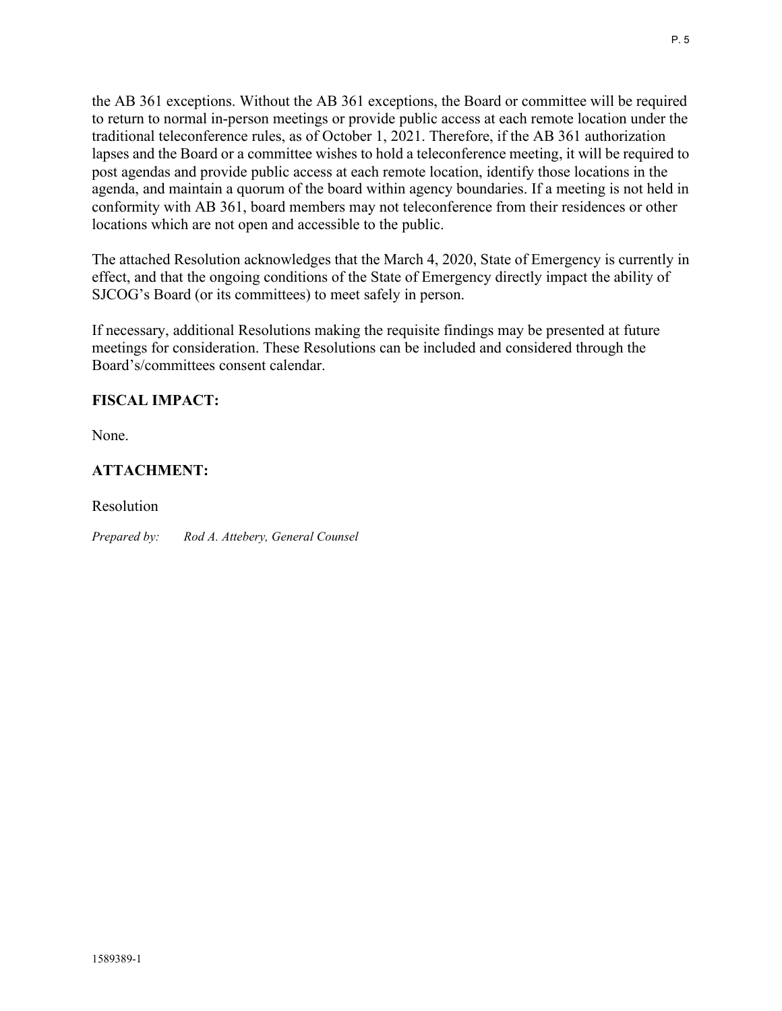the AB 361 exceptions. Without the AB 361 exceptions, the Board or committee will be required to return to normal in-person meetings or provide public access at each remote location under the traditional teleconference rules, as of October 1, 2021. Therefore, if the AB 361 authorization lapses and the Board or a committee wishes to hold a teleconference meeting, it will be required to post agendas and provide public access at each remote location, identify those locations in the agenda, and maintain a quorum of the board within agency boundaries. If a meeting is not held in conformity with AB 361, board members may not teleconference from their residences or other locations which are not open and accessible to the public.

The attached Resolution acknowledges that the March 4, 2020, State of Emergency is currently in effect, and that the ongoing conditions of the State of Emergency directly impact the ability of SJCOG's Board (or its committees) to meet safely in person.

If necessary, additional Resolutions making the requisite findings may be presented at future meetings for consideration. These Resolutions can be included and considered through the Board's/committees consent calendar.

# **FISCAL IMPACT:**

None.

# **ATTACHMENT:**

Resolution

*Prepared by: Rod A. Attebery, General Counsel*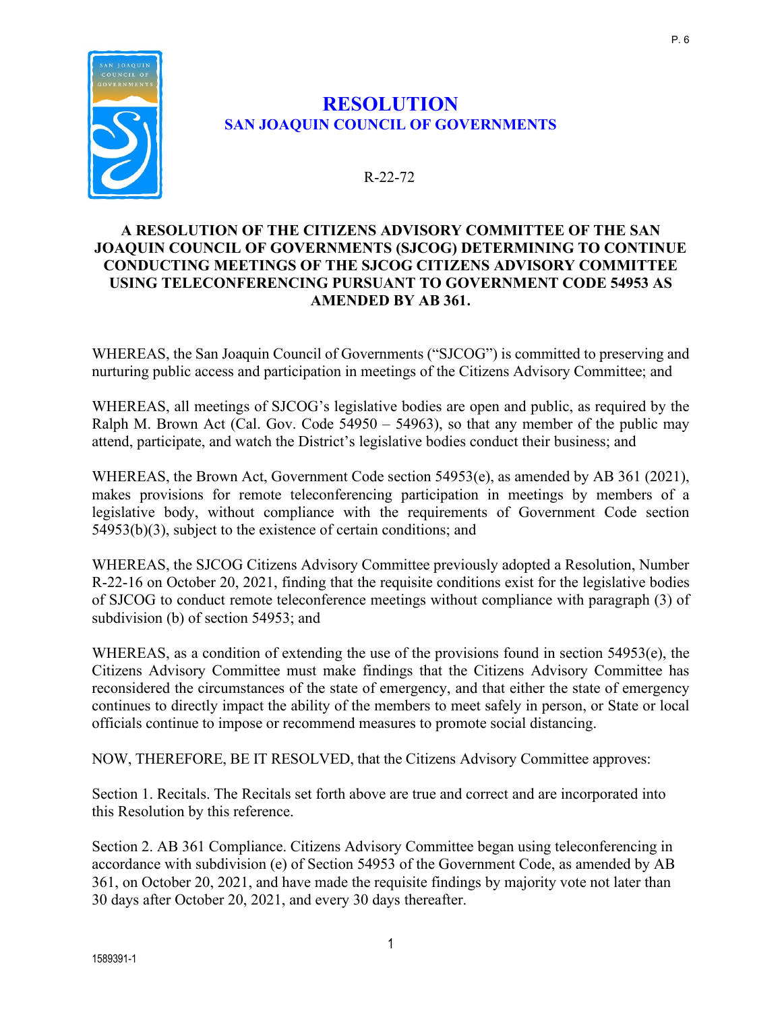

# **RESOLUTION SAN JOAQUIN COUNCIL OF GOVERNMENTS**

# R-22-72

#### **A RESOLUTION OF THE CITIZENS ADVISORY COMMITTEE OF THE SAN JOAQUIN COUNCIL OF GOVERNMENTS (SJCOG) DETERMINING TO CONTINUE CONDUCTING MEETINGS OF THE SJCOG CITIZENS ADVISORY COMMITTEE USING TELECONFERENCING PURSUANT TO GOVERNMENT CODE 54953 AS AMENDED BY AB 361.**

WHEREAS, the San Joaquin Council of Governments ("SJCOG") is committed to preserving and nurturing public access and participation in meetings of the Citizens Advisory Committee; and

WHEREAS, all meetings of SJCOG's legislative bodies are open and public, as required by the Ralph M. Brown Act (Cal. Gov. Code  $54950 - 54963$ ), so that any member of the public may attend, participate, and watch the District's legislative bodies conduct their business; and

WHEREAS, the Brown Act, Government Code section 54953(e), as amended by AB 361 (2021), makes provisions for remote teleconferencing participation in meetings by members of a legislative body, without compliance with the requirements of Government Code section 54953(b)(3), subject to the existence of certain conditions; and

WHEREAS, the SJCOG Citizens Advisory Committee previously adopted a Resolution, Number R-22-16 on October 20, 2021, finding that the requisite conditions exist for the legislative bodies of SJCOG to conduct remote teleconference meetings without compliance with paragraph (3) of subdivision (b) of section 54953; and

WHEREAS, as a condition of extending the use of the provisions found in section 54953(e), the Citizens Advisory Committee must make findings that the Citizens Advisory Committee has reconsidered the circumstances of the state of emergency, and that either the state of emergency continues to directly impact the ability of the members to meet safely in person, or State or local officials continue to impose or recommend measures to promote social distancing.

NOW, THEREFORE, BE IT RESOLVED, that the Citizens Advisory Committee approves:

Section 1. Recitals. The Recitals set forth above are true and correct and are incorporated into this Resolution by this reference.

Section 2. AB 361 Compliance. Citizens Advisory Committee began using teleconferencing in accordance with subdivision (e) of Section 54953 of the Government Code, as amended by AB 361, on October 20, 2021, and have made the requisite findings by majority vote not later than 30 days after October 20, 2021, and every 30 days thereafter.

P. 6